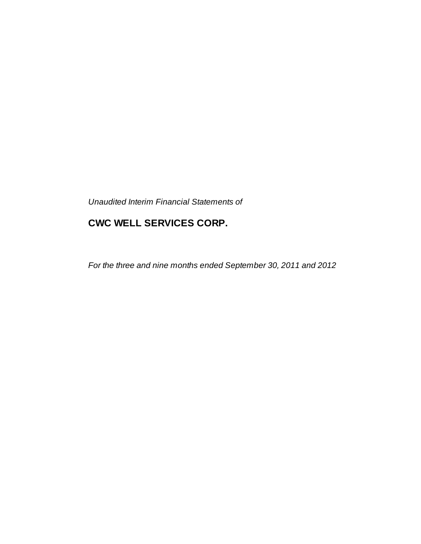*Unaudited Interim Financial Statements of*

# **CWC WELL SERVICES CORP.**

*For the three and nine months ended September 30, 2011 and 2012*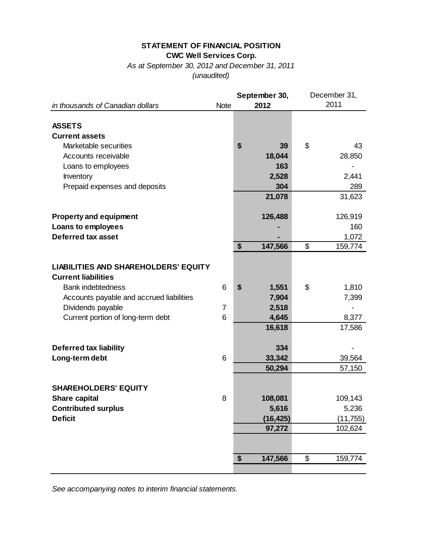### **STATEMENT OF FINANCIAL POSITION CWC Well Services Corp.**

*As at September 30, 2012 and December 31, 2011 (unaudited)*

|                                             |             | September 30, | December 31, |           |  |
|---------------------------------------------|-------------|---------------|--------------|-----------|--|
| in thousands of Canadian dollars            | <b>Note</b> | 2012          |              | 2011      |  |
|                                             |             |               |              |           |  |
| <b>ASSETS</b>                               |             |               |              |           |  |
| <b>Current assets</b>                       |             |               |              |           |  |
| Marketable securities                       |             | \$<br>39      | \$           | 43        |  |
| Accounts receivable                         |             | 18,044        |              | 28,850    |  |
| Loans to employees                          |             | 163           |              |           |  |
| Inventory                                   |             | 2,528         |              | 2,441     |  |
| Prepaid expenses and deposits               |             | 304           |              | 289       |  |
|                                             |             | 21,078        |              | 31,623    |  |
|                                             |             |               |              |           |  |
| <b>Property and equipment</b>               |             | 126,488       |              | 126,919   |  |
| Loans to employees                          |             |               |              | 160       |  |
| <b>Deferred tax asset</b>                   |             |               |              | 1,072     |  |
|                                             |             | \$<br>147,566 | \$           | 159,774   |  |
|                                             |             |               |              |           |  |
| <b>LIABILITIES AND SHAREHOLDERS' EQUITY</b> |             |               |              |           |  |
| <b>Current liabilities</b>                  |             |               |              |           |  |
| <b>Bank indebtedness</b>                    | 6           | \$<br>1,551   | \$           | 1,810     |  |
| Accounts payable and accrued liabilities    |             | 7,904         |              | 7,399     |  |
| Dividends payable                           | 7           | 2,518         |              |           |  |
| Current portion of long-term debt           | 6           | 4,645         |              | 8,377     |  |
|                                             |             | 16,618        |              | 17,586    |  |
|                                             |             |               |              |           |  |
| <b>Deferred tax liability</b>               |             | 334           |              |           |  |
| Long-term debt                              | 6           | 33,342        |              | 39,564    |  |
|                                             |             | 50,294        |              | 57,150    |  |
|                                             |             |               |              |           |  |
| <b>SHAREHOLDERS' EQUITY</b>                 |             |               |              |           |  |
| <b>Share capital</b>                        | 8           | 108,081       |              | 109,143   |  |
| <b>Contributed surplus</b>                  |             | 5,616         |              | 5,236     |  |
| <b>Deficit</b>                              |             | (16, 425)     |              | (11, 755) |  |
|                                             |             | 97,272        |              | 102,624   |  |
|                                             |             |               |              |           |  |
|                                             |             |               |              |           |  |
|                                             |             | 147,566<br>\$ | \$           | 159,774   |  |
|                                             |             |               |              |           |  |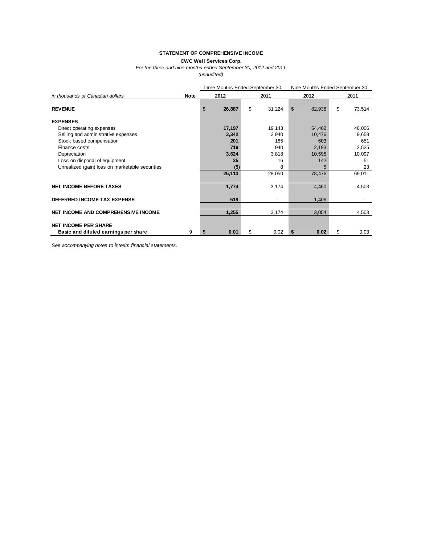#### **STATEMENT OF COMPREHENSIVE INCOME**

**CWC Well Services Corp.**

*For the three and nine months ended September 30, 2012 and 2011*

*(unaudited)*

|                                                 |             | Three Months Ended September 30, |        |              | Nine Months Ended September 30, |        |    |        |
|-------------------------------------------------|-------------|----------------------------------|--------|--------------|---------------------------------|--------|----|--------|
| in thousands of Canadian dollars                | <b>Note</b> |                                  | 2012   | 2011         |                                 | 2012   |    | 2011   |
| <b>REVENUE</b>                                  |             | \$                               | 26,887 | \$<br>31,224 | \$                              | 82,936 | \$ | 73,514 |
| <b>EXPENSES</b>                                 |             |                                  |        |              |                                 |        |    |        |
| Direct operating expenses                       |             |                                  | 17,197 | 19,143       |                                 | 54,462 |    | 46,006 |
| Selling and administrative expenses             |             |                                  | 3,342  | 3,940        |                                 | 10,476 |    | 9,658  |
| Stock based compensation                        |             |                                  | 201    | 185          |                                 | 603    |    | 651    |
| Finance costs                                   |             |                                  | 719    | 940          |                                 | 2,193  |    | 2,525  |
| Depreciation                                    |             |                                  | 3,624  | 3,818        |                                 | 10,595 |    | 10,097 |
| Loss on disposal of equipment                   |             |                                  | 35     | 16           |                                 | 142    |    | 51     |
| Unrealized (gain) loss on marketable securities |             |                                  | (5)    | 8            |                                 |        |    | 23     |
|                                                 |             |                                  | 25,113 | 28,050       |                                 | 78,476 |    | 69,011 |
| <b>NET INCOME BEFORE TAXES</b>                  |             |                                  | 1,774  | 3,174        |                                 | 4,460  |    | 4,503  |
| DEFERRED INCOME TAX EXPENSE                     |             |                                  | 519    |              |                                 | 1,406  |    |        |
|                                                 |             |                                  |        |              |                                 |        |    |        |
| NET INCOME AND COMPREHENSIVE INCOME             |             |                                  | 1,255  | 3,174        |                                 | 3,054  |    | 4,503  |
| <b>NET INCOME PER SHARE</b>                     |             |                                  |        |              |                                 |        |    |        |
| Basic and diluted earnings per share            | 9           |                                  | 0.01   | \$<br>0.02   | S                               | 0.02   | \$ | 0.03   |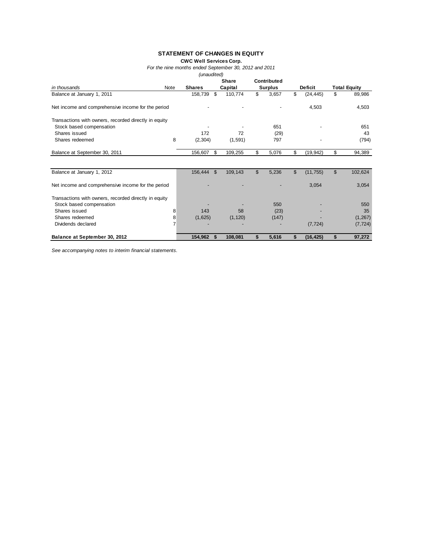#### **STATEMENT OF CHANGES IN EQUITY**

**CWC Well Services Corp.**

*For the nine months ended September 30, 2012 and 2011*

*(unaudited)*

|                                                       |      |               |                | Share    |    | Contributed    |                |                |                     |
|-------------------------------------------------------|------|---------------|----------------|----------|----|----------------|----------------|----------------|---------------------|
| in thousands                                          | Note | <b>Shares</b> |                | Capital  |    | <b>Surplus</b> |                | <b>Deficit</b> | <b>Total Equity</b> |
| Balance at January 1, 2011                            |      | 158,739       | \$             | 110,774  | \$ | 3,657          | \$             | (24, 445)      | \$<br>89,986        |
| Net income and comprehensive income for the period    |      |               |                |          |    |                |                | 4,503          | 4,503               |
| Transactions with owners, recorded directly in equity |      |               |                |          |    |                |                |                |                     |
| Stock based compensation                              |      |               |                |          |    | 651            |                |                | 651                 |
| Shares issued                                         |      | 172           |                | 72       |    | (29)           |                |                | 43                  |
| Shares redeemed                                       | 8    | (2,304)       |                | (1,591)  |    | 797            |                |                | (794)               |
| Balance at September 30, 2011                         |      | 156,607       | \$             | 109,255  | \$ | 5,076          | \$             | (19, 942)      | \$<br>94,389        |
|                                                       |      |               |                |          |    |                |                |                |                     |
| Balance at January 1, 2012                            |      | 156,444       | $\mathfrak{S}$ | 109,143  | \$ | 5,236          | $\mathfrak{L}$ | (11, 755)      | \$<br>102,624       |
| Net income and comprehensive income for the period    |      |               |                |          |    |                |                | 3,054          | 3,054               |
| Transactions with owners, recorded directly in equity |      |               |                |          |    |                |                |                |                     |
| Stock based compensation                              |      |               |                |          |    | 550            |                |                | 550                 |
| Shares issued                                         | 8    | 143           |                | 58       |    | (23)           |                |                | 35                  |
| Shares redeemed                                       | 8    | (1,625)       |                | (1, 120) |    | (147)          |                |                | (1, 267)            |
| Dividends declared                                    |      |               |                |          |    |                |                | (7, 724)       | (7, 724)            |
| Balance at September 30, 2012                         |      | 154,962       | -S             | 108,081  | S. | 5,616          | S              | (16,425)       | \$<br>97,272        |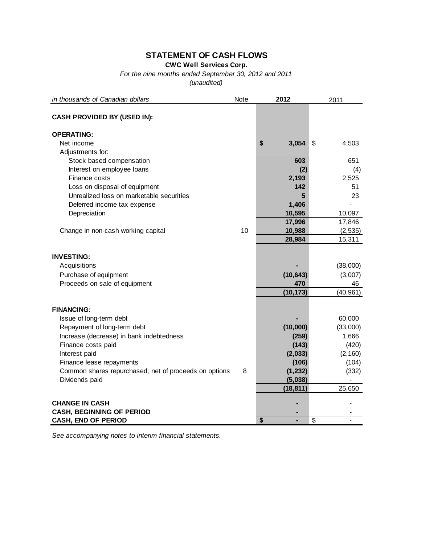## **STATEMENT OF CASH FLOWS**

**CWC Well Services Corp.**

*For the nine months ended September 30, 2012 and 2011*

*(unaudited)*

| in thousands of Canadian dollars                               | Note | 2012           |                          | 2011              |
|----------------------------------------------------------------|------|----------------|--------------------------|-------------------|
| <b>CASH PROVIDED BY (USED IN):</b>                             |      |                |                          |                   |
| <b>OPERATING:</b>                                              |      |                |                          |                   |
| Net income                                                     |      | \$<br>3,054    | \$                       | 4,503             |
| Adjustments for:                                               |      |                |                          |                   |
| Stock based compensation                                       |      | 603            |                          | 651               |
| Interest on employee loans                                     |      | (2)            |                          | (4)               |
| Finance costs                                                  |      | 2,193          |                          | 2,525             |
| Loss on disposal of equipment                                  |      | 142            |                          | 51                |
| Unrealized loss on marketable securities                       |      | 5              |                          | 23                |
| Deferred income tax expense                                    |      | 1,406          |                          |                   |
| Depreciation                                                   |      | 10,595         |                          | 10,097            |
|                                                                |      | 17,996         |                          | 17,846            |
| Change in non-cash working capital                             | 10   | 10,988         |                          | (2, 535)          |
|                                                                |      | 28,984         |                          | 15,311            |
| <b>INVESTING:</b>                                              |      |                |                          |                   |
| Acquisitions                                                   |      |                |                          | (38,000)          |
| Purchase of equipment                                          |      | (10, 643)      |                          | (3,007)           |
| Proceeds on sale of equipment                                  |      | 470            |                          | 46                |
|                                                                |      | (10, 173)      |                          | (40, 961)         |
|                                                                |      |                |                          |                   |
| <b>FINANCING:</b>                                              |      |                |                          |                   |
| Issue of long-term debt                                        |      |                |                          | 60,000            |
| Repayment of long-term debt                                    |      | (10,000)       |                          | (33,000)<br>1,666 |
| Increase (decrease) in bank indebtedness<br>Finance costs paid |      | (259)<br>(143) |                          | (420)             |
| Interest paid                                                  |      | (2,033)        |                          | (2, 160)          |
| Finance lease repayments                                       |      | (106)          |                          | (104)             |
| Common shares repurchased, net of proceeds on options          | 8    | (1, 232)       |                          | (332)             |
| Dividends paid                                                 |      | (5,038)        |                          |                   |
|                                                                |      | (18, 811)      |                          | 25,650            |
|                                                                |      |                |                          |                   |
| <b>CHANGE IN CASH</b>                                          |      |                |                          |                   |
| <b>CASH, BEGINNING OF PERIOD</b>                               |      |                |                          |                   |
| <b>CASH, END OF PERIOD</b>                                     |      | \$             | $\overline{\mathcal{S}}$ |                   |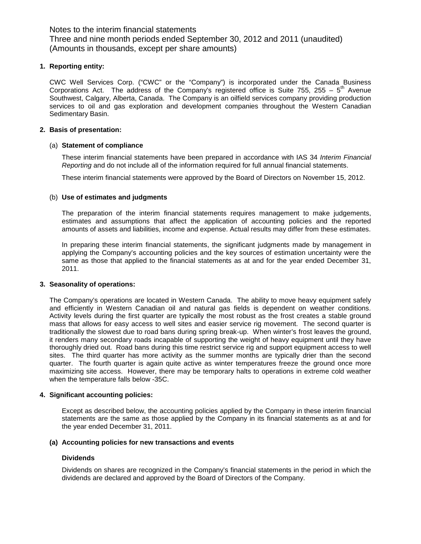#### **1. Reporting entity:**

CWC Well Services Corp. ("CWC" or the "Company") is incorporated under the Canada Business Corporations Act. The address of the Company's registered office is Suite 755, 255 –  $5<sup>th</sup>$  Avenue Southwest, Calgary, Alberta, Canada. The Company is an oilfield services company providing production services to oil and gas exploration and development companies throughout the Western Canadian Sedimentary Basin.

#### **2. Basis of presentation:**

#### (a) **Statement of compliance**

These interim financial statements have been prepared in accordance with IAS 34 *Interim Financial Reporting* and do not include all of the information required for full annual financial statements.

These interim financial statements were approved by the Board of Directors on November 15, 2012.

#### (b) **Use of estimates and judgments**

The preparation of the interim financial statements requires management to make judgements, estimates and assumptions that affect the application of accounting policies and the reported amounts of assets and liabilities, income and expense. Actual results may differ from these estimates.

In preparing these interim financial statements, the significant judgments made by management in applying the Company's accounting policies and the key sources of estimation uncertainty were the same as those that applied to the financial statements as at and for the year ended December 31, 2011.

#### **3. Seasonality of operations:**

The Company's operations are located in Western Canada. The ability to move heavy equipment safely and efficiently in Western Canadian oil and natural gas fields is dependent on weather conditions. Activity levels during the first quarter are typically the most robust as the frost creates a stable ground mass that allows for easy access to well sites and easier service rig movement. The second quarter is traditionally the slowest due to road bans during spring break-up. When winter's frost leaves the ground, it renders many secondary roads incapable of supporting the weight of heavy equipment until they have thoroughly dried out. Road bans during this time restrict service rig and support equipment access to well sites. The third quarter has more activity as the summer months are typically drier than the second quarter. The fourth quarter is again quite active as winter temperatures freeze the ground once more maximizing site access. However, there may be temporary halts to operations in extreme cold weather when the temperature falls below -35C.

#### **4. Significant accounting policies:**

Except as described below, the accounting policies applied by the Company in these interim financial statements are the same as those applied by the Company in its financial statements as at and for the year ended December 31, 2011.

#### **(a) Accounting policies for new transactions and events**

#### **Dividends**

Dividends on shares are recognized in the Company's financial statements in the period in which the dividends are declared and approved by the Board of Directors of the Company.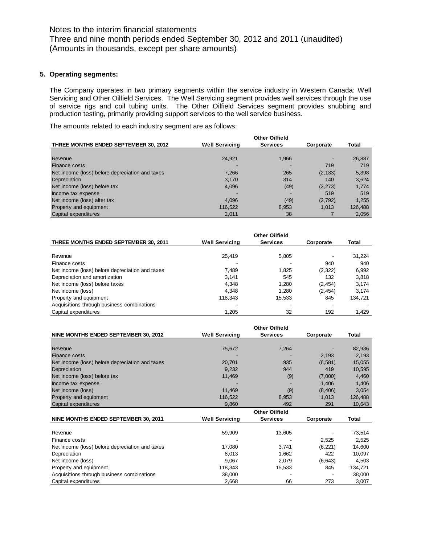#### **5. Operating segments:**

The Company operates in two primary segments within the service industry in Western Canada: Well Servicing and Other Oilfield Services. The Well Servicing segment provides well services through the use of service rigs and coil tubing units. The Other Oilfield Services segment provides snubbing and production testing, primarily providing support services to the well service business.

The amounts related to each industry segment are as follows:

|                                                 |                       | <b>Other Oilfield</b> |           |         |
|-------------------------------------------------|-----------------------|-----------------------|-----------|---------|
| THREE MONTHS ENDED SEPTEMBER 30, 2012           | <b>Well Servicing</b> | <b>Services</b>       | Corporate | Total   |
|                                                 |                       |                       |           |         |
| Revenue                                         | 24,921                | 1,966                 |           | 26,887  |
| Finance costs                                   |                       |                       | 719       | 719     |
| Net income (loss) before depreciation and taxes | 7,266                 | 265                   | (2, 133)  | 5,398   |
| Depreciation                                    | 3,170                 | 314                   | 140       | 3,624   |
| Net income (loss) before tax                    | 4,096                 | (49)                  | (2, 273)  | 1,774   |
| Income tax expense                              |                       |                       | 519       | 519     |
| Net income (loss) after tax                     | 4,096                 | (49)                  | (2,792)   | 1,255   |
| Property and equipment                          | 116,522               | 8,953                 | 1.013     | 126,488 |
| Capital expenditures                            | 2,011                 | 38                    |           | 2,056   |

| THREE MONTHS ENDED SEPTEMBER 30, 2011           | <b>Well Servicing</b> | <b>Services</b> | Corporate | Total   |
|-------------------------------------------------|-----------------------|-----------------|-----------|---------|
|                                                 |                       |                 |           |         |
| Revenue                                         | 25,419                | 5,805           |           | 31,224  |
| Finance costs                                   |                       |                 | 940       | 940     |
| Net income (loss) before depreciation and taxes | 7.489                 | 1.825           | (2,322)   | 6,992   |
| Depreciation and amortization                   | 3.141                 | 545             | 132       | 3,818   |
| Net income (loss) before taxes                  | 4,348                 | 1.280           | (2, 454)  | 3.174   |
| Net income (loss)                               | 4.348                 | 1.280           | (2, 454)  | 3.174   |
| Property and equipment                          | 118,343               | 15,533          | 845       | 134,721 |
| Acquisitions through business combinations      |                       |                 |           |         |
| Capital expenditures                            | 1.205                 | 32              | 192       | 1.429   |

|                                                 |                       | <b>Other Oilfield</b> |           |         |
|-------------------------------------------------|-----------------------|-----------------------|-----------|---------|
| NINE MONTHS ENDED SEPTEMBER 30, 2012            | <b>Well Servicing</b> | <b>Services</b>       | Corporate | Total   |
|                                                 |                       |                       |           |         |
| Revenue                                         | 75,672                | 7,264                 |           | 82,936  |
| Finance costs                                   |                       |                       | 2,193     | 2,193   |
| Net income (loss) before depreciation and taxes | 20,701                | 935                   | (6, 581)  | 15,055  |
| Depreciation                                    | 9,232                 | 944                   | 419       | 10,595  |
| Net income (loss) before tax                    | 11,469                | (9)                   | (7,000)   | 4,460   |
| Income tax expense                              |                       |                       | 1,406     | 1,406   |
| Net income (loss)                               | 11,469                | (9)                   | (8, 406)  | 3,054   |
| Property and equipment                          | 116,522               | 8,953                 | 1,013     | 126,488 |
| Capital expenditures                            | 9,860                 | 492                   | 291       | 10,643  |
|                                                 |                       | <b>Other Oilfield</b> |           |         |
| NINE MONTHS ENDED SEPTEMBER 30, 2011            | <b>Well Servicing</b> | <b>Services</b>       | Corporate | Total   |
|                                                 |                       |                       |           |         |
| Revenue                                         | 59,909                | 13,605                |           | 73,514  |
| Finance costs                                   |                       |                       | 2,525     | 2,525   |
| Net income (loss) before depreciation and taxes | 17,080                | 3,741                 | (6, 221)  | 14,600  |
| Depreciation                                    | 8,013                 | 1,662                 | 422       | 10,097  |
| Net income (loss)                               | 9,067                 | 2,079                 | (6, 643)  | 4,503   |
| Property and equipment                          | 118,343               | 15,533                | 845       | 134,721 |
| Acquisitions through business combinations      | 38,000                |                       |           | 38,000  |
| Capital expenditures                            | 2,668                 | 66                    | 273       | 3,007   |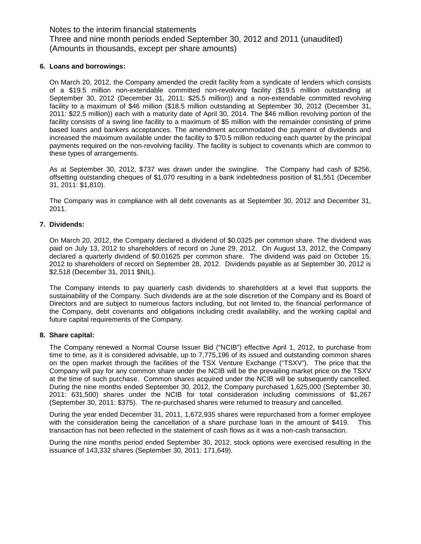#### **6. Loans and borrowings:**

On March 20, 2012, the Company amended the credit facility from a syndicate of lenders which consists of a \$19.5 million non-extendable committed non-revolving facility (\$19.5 million outstanding at September 30, 2012 (December 31, 2011: \$25.5 million)) and a non-extendable committed revolving facility to a maximum of \$46 million (\$18.5 million outstanding at September 30, 2012 (December 31, 2011: \$22.5 million)) each with a maturity date of April 30, 2014. The \$46 million revolving portion of the facility consists of a swing line facility to a maximum of \$5 million with the remainder consisting of prime based loans and bankers acceptances. The amendment accommodated the payment of dividends and increased the maximum available under the facility to \$70.5 million reducing each quarter by the principal payments required on the non-revolving facility. The facility is subject to covenants which are common to these types of arrangements.

As at September 30, 2012, \$737 was drawn under the swingline. The Company had cash of \$256, offsetting outstanding cheques of \$1,070 resulting in a bank indebtedness position of \$1,551 (December 31, 2011: \$1,810).

The Company was in compliance with all debt covenants as at September 30, 2012 and December 31, 2011.

#### **7. Dividends:**

On March 20, 2012, the Company declared a dividend of \$0.0325 per common share. The dividend was paid on July 13, 2012 to shareholders of record on June 29, 2012. On August 13, 2012, the Company declared a quarterly dividend of \$0.01625 per common share. The dividend was paid on October 15, 2012 to shareholders of record on September 28, 2012. Dividends payable as at September 30, 2012 is \$2,518 (December 31, 2011 \$NIL).

The Company intends to pay quarterly cash dividends to shareholders at a level that supports the sustainability of the Company. Such dividends are at the sole discretion of the Company and its Board of Directors and are subject to numerous factors including, but not limited to, the financial performance of the Company, debt covenants and obligations including credit availability, and the working capital and future capital requirements of the Company.

#### **8. Share capital:**

The Company renewed a Normal Course Issuer Bid ("NCIB") effective April 1, 2012, to purchase from time to time, as it is considered advisable, up to 7,775,196 of its issued and outstanding common shares on the open market through the facilities of the TSX Venture Exchange ("TSXV"). The price that the Company will pay for any common share under the NCIB will be the prevailing market price on the TSXV at the time of such purchase. Common shares acquired under the NCIB will be subsequently cancelled. During the nine months ended September 30, 2012, the Company purchased 1,625,000 (September 30, 2011: 631,500) shares under the NCIB for total consideration including commissions of \$1,267 (September 30, 2011: \$375). The re-purchased shares were returned to treasury and cancelled.

During the year ended December 31, 2011, 1,672,935 shares were repurchased from a former employee with the consideration being the cancellation of a share purchase loan in the amount of \$419. This transaction has not been reflected in the statement of cash flows as it was a non-cash transaction.

During the nine months period ended September 30, 2012, stock options were exercised resulting in the issuance of 143,332 shares (September 30, 2011: 171,649).